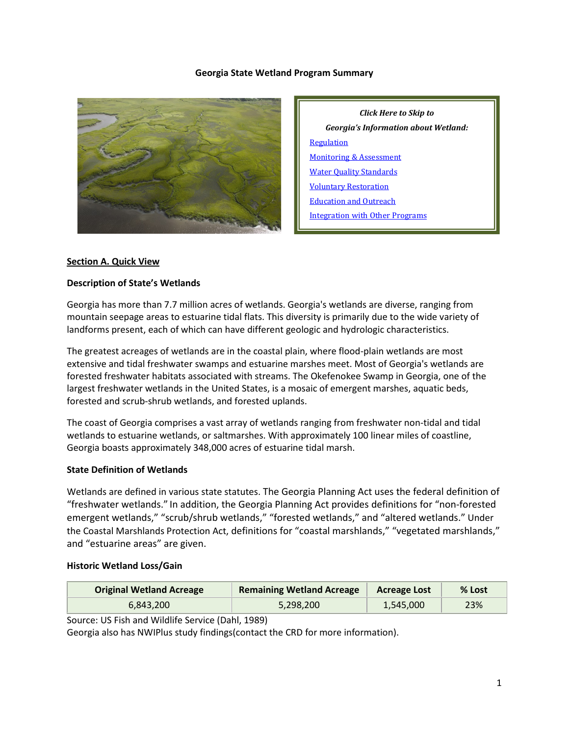#### **Georgia State Wetland Program Summary**



*Click Here to Skip to Georgia's Information about Wetland:* [Regulation](#page-2-0) [Monitoring & Assessment](#page-5-0) [Water Quality Standards](#page-7-0) [Voluntary Restoration](#page-7-1) [Education and Outreach](#page-9-0) [Integration with Other Programs](#page-10-0)

#### **Section A. Quick View**

#### **Description of State's Wetlands**

Georgia has more than 7.7 million acres of wetlands. Georgia's wetlands are diverse, ranging from mountain seepage areas to estuarine tidal flats. This diversity is primarily due to the wide variety of landforms present, each of which can have different geologic and hydrologic characteristics.

The greatest acreages of wetlands are in the coastal plain, where flood-plain wetlands are most extensive and tidal freshwater swamps and estuarine marshes meet. Most of Georgia's wetlands are forested freshwater habitats associated with streams. The Okefenokee Swamp in Georgia, one of the largest freshwater wetlands in the United States, is a mosaic of emergent marshes, aquatic beds, forested and scrub-shrub wetlands, and forested uplands.

The coast of Georgia comprises a vast array of wetlands ranging from freshwater non-tidal and tidal wetlands to estuarine wetlands, or saltmarshes. With approximately 100 linear miles of coastline, Georgia boasts approximately 348,000 acres of estuarine tidal marsh.

#### **State Definition of Wetlands**

Wetlands are defined in various state statutes. The Georgia Planning Act uses the federal definition of "freshwater wetlands." In addition, the Georgia Planning Act provides definitions for "non-forested emergent wetlands," "scrub/shrub wetlands," "forested wetlands," and "altered wetlands." Under the Coastal Marshlands Protection Act, definitions for "coastal marshlands," "vegetated marshlands," and "estuarine areas" are given.

#### **Historic Wetland Loss/Gain**

| <b>Original Wetland Acreage</b> | <b>Remaining Wetland Acreage</b> | <b>Acreage Lost</b> | % Lost |
|---------------------------------|----------------------------------|---------------------|--------|
| 6.843.200                       | 5,298,200                        | 1,545,000           | 23%    |

Source: US Fish and Wildlife Service (Dahl, 1989)

Georgia also has NWIPlus study findings(contact the CRD for more information).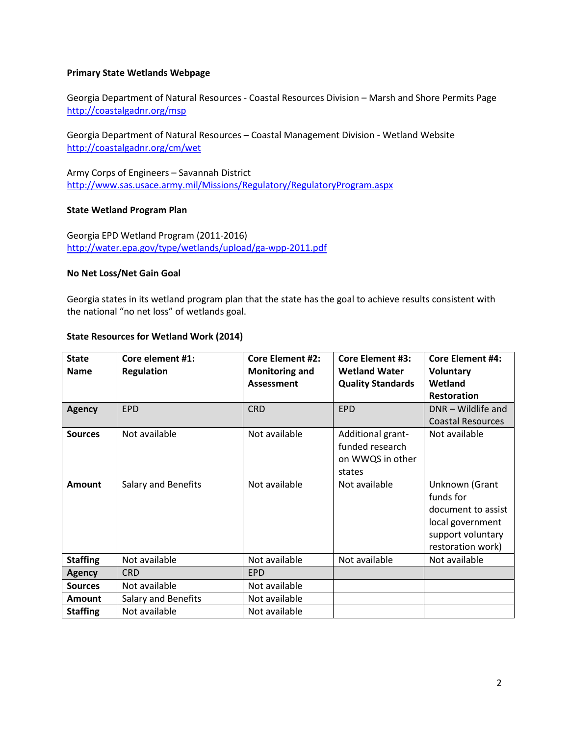#### **Primary State Wetlands Webpage**

Georgia Department of Natural Resources - Coastal Resources Division – Marsh and Shore Permits Page <http://coastalgadnr.org/msp>

Georgia Department of Natural Resources – Coastal Management Division - Wetland Website <http://coastalgadnr.org/cm/wet>

Army Corps of Engineers – Savannah District <http://www.sas.usace.army.mil/Missions/Regulatory/RegulatoryProgram.aspx>

#### **State Wetland Program Plan**

Georgia EPD Wetland Program (2011-2016) <http://water.epa.gov/type/wetlands/upload/ga-wpp-2011.pdf>

#### **No Net Loss/Net Gain Goal**

Georgia states in its wetland program plan that the state has the goal to achieve results consistent with the national "no net loss" of wetlands goal.

#### **State Resources for Wetland Work (2014)**

| <b>State</b><br><b>Name</b> | Core element #1:<br><b>Regulation</b> | <b>Core Element #2:</b><br><b>Monitoring and</b><br>Assessment | <b>Core Element #3:</b><br><b>Wetland Water</b><br><b>Quality Standards</b> | <b>Core Element #4:</b><br><b>Voluntary</b><br>Wetland<br><b>Restoration</b>                                    |
|-----------------------------|---------------------------------------|----------------------------------------------------------------|-----------------------------------------------------------------------------|-----------------------------------------------------------------------------------------------------------------|
| <b>Agency</b>               | <b>EPD</b>                            | <b>CRD</b>                                                     | <b>EPD</b>                                                                  | DNR - Wildlife and<br><b>Coastal Resources</b>                                                                  |
| <b>Sources</b>              | Not available                         | Not available                                                  | Additional grant-<br>funded research<br>on WWQS in other<br>states          | Not available                                                                                                   |
| <b>Amount</b>               | Salary and Benefits                   | Not available                                                  | Not available                                                               | Unknown (Grant<br>funds for<br>document to assist<br>local government<br>support voluntary<br>restoration work) |
| <b>Staffing</b>             | Not available                         | Not available                                                  | Not available                                                               | Not available                                                                                                   |
| <b>Agency</b>               | <b>CRD</b>                            | <b>EPD</b>                                                     |                                                                             |                                                                                                                 |
| <b>Sources</b>              | Not available                         | Not available                                                  |                                                                             |                                                                                                                 |
| Amount                      | Salary and Benefits                   | Not available                                                  |                                                                             |                                                                                                                 |
| <b>Staffing</b>             | Not available                         | Not available                                                  |                                                                             |                                                                                                                 |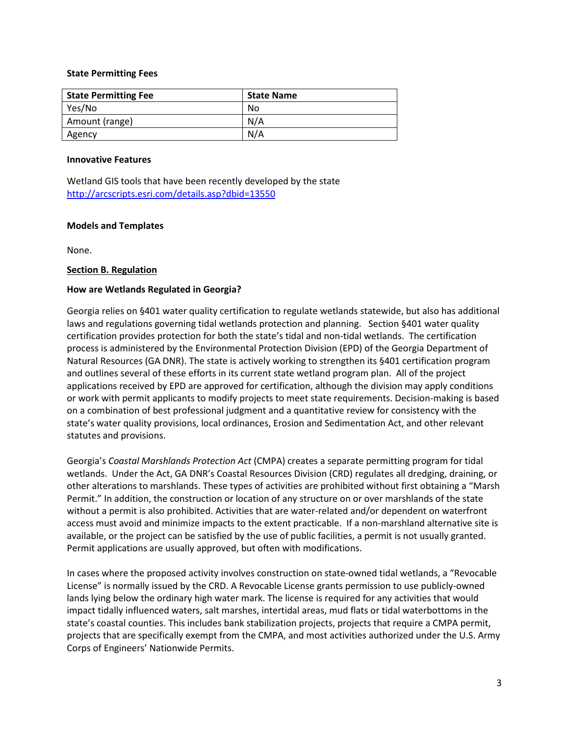#### **State Permitting Fees**

| <b>State Permitting Fee</b> | <b>State Name</b> |
|-----------------------------|-------------------|
| Yes/No                      | No                |
| Amount (range)              | N/A               |
| Agency                      | N/A               |

#### **Innovative Features**

Wetland GIS tools that have been recently developed by the state <http://arcscripts.esri.com/details.asp?dbid=13550>

#### **Models and Templates**

None.

# <span id="page-2-0"></span>**Section B. Regulation**

# **How are Wetlands Regulated in Georgia?**

Georgia relies on §401 water quality certification to regulate wetlands statewide, but also has additional laws and regulations governing tidal wetlands protection and planning. Section §401 water quality certification provides protection for both the state's tidal and non-tidal wetlands. The certification process is administered by the Environmental Protection Division (EPD) of the Georgia Department of Natural Resources (GA DNR). The state is actively working to strengthen its §401 certification program and outlines several of these efforts in its current state wetland program plan. All of the project applications received by EPD are approved for certification, although the division may apply conditions or work with permit applicants to modify projects to meet state requirements. Decision-making is based on a combination of best professional judgment and a quantitative review for consistency with the state's water quality provisions, local ordinances, Erosion and Sedimentation Act, and other relevant statutes and provisions.

Georgia's *Coastal Marshlands Protection Act* (CMPA) creates a separate permitting program for tidal wetlands. Under the Act, GA DNR's Coastal Resources Division (CRD) regulates all dredging, draining, or other alterations to marshlands. These types of activities are prohibited without first obtaining a "Marsh Permit." In addition, the construction or location of any structure on or over marshlands of the state without a permit is also prohibited. Activities that are water-related and/or dependent on waterfront access must avoid and minimize impacts to the extent practicable. If a non-marshland alternative site is available, or the project can be satisfied by the use of public facilities, a permit is not usually granted. Permit applications are usually approved, but often with modifications.

In cases where the proposed activity involves construction on state-owned tidal wetlands, a "Revocable License" is normally issued by the CRD. A Revocable License grants permission to use publicly-owned lands lying below the ordinary high water mark. The license is required for any activities that would impact tidally influenced waters, salt marshes, intertidal areas, mud flats or tidal waterbottoms in the state's coastal counties. This includes bank stabilization projects, projects that require a CMPA permit, projects that are specifically exempt from the CMPA, and most activities authorized under the U.S. Army Corps of Engineers' Nationwide Permits.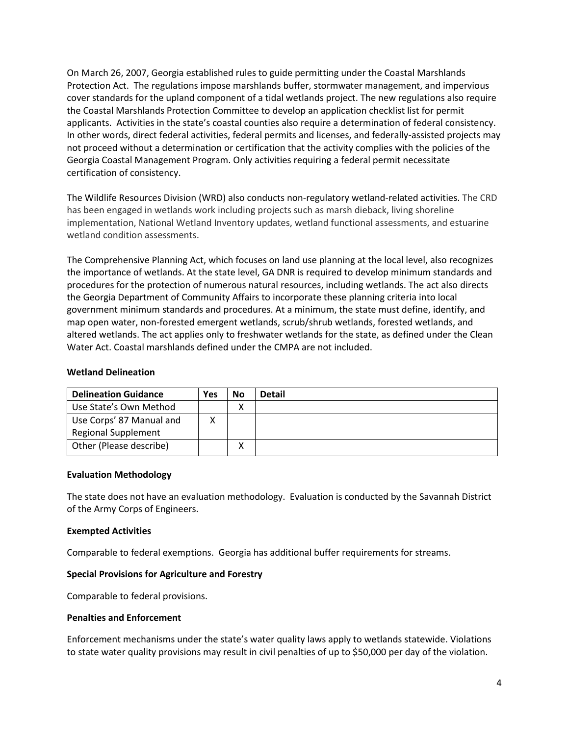On March 26, 2007, Georgia established rules to guide permitting under the Coastal Marshlands Protection Act. The regulations impose marshlands buffer, stormwater management, and impervious cover standards for the upland component of a tidal wetlands project. The new regulations also require the Coastal Marshlands Protection Committee to develop an application checklist list for permit applicants. Activities in the state's coastal counties also require a determination of federal consistency. In other words, direct federal activities, federal permits and licenses, and federally-assisted projects may not proceed without a determination or certification that the activity complies with the policies of the Georgia Coastal Management Program. Only activities requiring a federal permit necessitate certification of consistency.

The Wildlife Resources Division (WRD) also conducts non-regulatory wetland-related activities. The CRD has been engaged in wetlands work including projects such as marsh dieback, living shoreline implementation, National Wetland Inventory updates, wetland functional assessments, and estuarine wetland condition assessments.

The Comprehensive Planning Act, which focuses on land use planning at the local level, also recognizes the importance of wetlands. At the state level, GA DNR is required to develop minimum standards and procedures for the protection of numerous natural resources, including wetlands. The act also directs the Georgia Department of Community Affairs to incorporate these planning criteria into local government minimum standards and procedures. At a minimum, the state must define, identify, and map open water, non-forested emergent wetlands, scrub/shrub wetlands, forested wetlands, and altered wetlands. The act applies only to freshwater wetlands for the state, as defined under the Clean Water Act. Coastal marshlands defined under the CMPA are not included.

#### **Wetland Delineation**

| <b>Delineation Guidance</b> | Yes | <b>No</b> | <b>Detail</b> |
|-----------------------------|-----|-----------|---------------|
| Use State's Own Method      |     | Λ         |               |
| Use Corps' 87 Manual and    |     |           |               |
| <b>Regional Supplement</b>  |     |           |               |
| Other (Please describe)     |     |           |               |

#### **Evaluation Methodology**

The state does not have an evaluation methodology. Evaluation is conducted by the Savannah District of the Army Corps of Engineers.

#### **Exempted Activities**

Comparable to federal exemptions. Georgia has additional buffer requirements for streams.

#### **Special Provisions for Agriculture and Forestry**

Comparable to federal provisions.

#### **Penalties and Enforcement**

Enforcement mechanisms under the state's water quality laws apply to wetlands statewide. Violations to state water quality provisions may result in civil penalties of up to \$50,000 per day of the violation.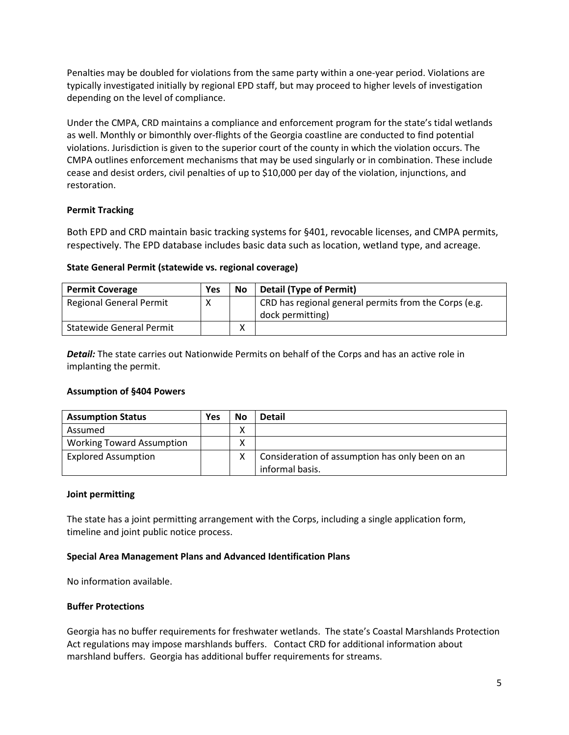Penalties may be doubled for violations from the same party within a one-year period. Violations are typically investigated initially by regional EPD staff, but may proceed to higher levels of investigation depending on the level of compliance.

Under the CMPA, CRD maintains a compliance and enforcement program for the state's tidal wetlands as well. Monthly or bimonthly over-flights of the Georgia coastline are conducted to find potential violations. Jurisdiction is given to the superior court of the county in which the violation occurs. The CMPA outlines enforcement mechanisms that may be used singularly or in combination. These include cease and desist orders, civil penalties of up to \$10,000 per day of the violation, injunctions, and restoration.

# **Permit Tracking**

Both EPD and CRD maintain basic tracking systems for §401, revocable licenses, and CMPA permits, respectively. The EPD database includes basic data such as location, wetland type, and acreage.

# **State General Permit (statewide vs. regional coverage)**

| <b>Permit Coverage</b>          | Yes | <b>No</b> | <b>Detail (Type of Permit)</b>                        |
|---------------------------------|-----|-----------|-------------------------------------------------------|
| <b>Regional General Permit</b>  |     |           | CRD has regional general permits from the Corps (e.g. |
|                                 |     |           | dock permitting)                                      |
| <b>Statewide General Permit</b> |     | ́         |                                                       |

*Detail:* The state carries out Nationwide Permits on behalf of the Corps and has an active role in implanting the permit.

# **Assumption of §404 Powers**

| <b>Assumption Status</b>         | Yes | No | <b>Detail</b>                                   |
|----------------------------------|-----|----|-------------------------------------------------|
| Assumed                          |     | ∧  |                                                 |
| <b>Working Toward Assumption</b> |     | ∧  |                                                 |
| <b>Explored Assumption</b>       |     | X  | Consideration of assumption has only been on an |
|                                  |     |    | informal basis.                                 |

# **Joint permitting**

The state has a joint permitting arrangement with the Corps, including a single application form, timeline and joint public notice process.

# **Special Area Management Plans and Advanced Identification Plans**

No information available.

# **Buffer Protections**

Georgia has no buffer requirements for freshwater wetlands. The state's Coastal Marshlands Protection Act regulations may impose marshlands buffers. Contact CRD for additional information about marshland buffers. Georgia has additional buffer requirements for streams.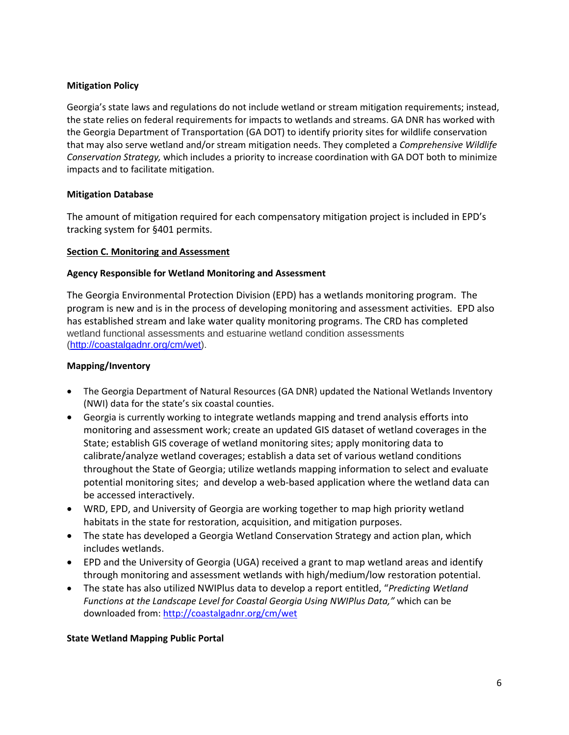# **Mitigation Policy**

Georgia's state laws and regulations do not include wetland or stream mitigation requirements; instead, the state relies on federal requirements for impacts to wetlands and streams. GA DNR has worked with the Georgia Department of Transportation (GA DOT) to identify priority sites for wildlife conservation that may also serve wetland and/or stream mitigation needs. They completed a *Comprehensive Wildlife Conservation Strategy,* which includes a priority to increase coordination with GA DOT both to minimize impacts and to facilitate mitigation.

# **Mitigation Database**

The amount of mitigation required for each compensatory mitigation project is included in EPD's tracking system for §401 permits.

# <span id="page-5-0"></span>**Section C. Monitoring and Assessment**

# **Agency Responsible for Wetland Monitoring and Assessment**

The Georgia Environmental Protection Division (EPD) has a wetlands monitoring program. The program is new and is in the process of developing monitoring and assessment activities. EPD also has established stream and lake water quality monitoring programs. The CRD has completed wetland functional assessments and estuarine wetland condition assessments [\(http://coastalgadnr.org/cm/wet\)](http://coastalgadnr.org/cm/wet).

# **Mapping/Inventory**

- The Georgia Department of Natural Resources (GA DNR) updated the National Wetlands Inventory (NWI) data for the state's six coastal counties.
- Georgia is currently working to integrate wetlands mapping and trend analysis efforts into monitoring and assessment work; create an updated GIS dataset of wetland coverages in the State; establish GIS coverage of wetland monitoring sites; apply monitoring data to calibrate/analyze wetland coverages; establish a data set of various wetland conditions throughout the State of Georgia; utilize wetlands mapping information to select and evaluate potential monitoring sites; and develop a web-based application where the wetland data can be accessed interactively.
- WRD, EPD, and University of Georgia are working together to map high priority wetland habitats in the state for restoration, acquisition, and mitigation purposes.
- The state has developed a Georgia Wetland Conservation Strategy and action plan, which includes wetlands.
- EPD and the University of Georgia (UGA) received a grant to map wetland areas and identify through monitoring and assessment wetlands with high/medium/low restoration potential.
- The state has also utilized NWIPlus data to develop a report entitled, "*Predicting Wetland Functions at the Landscape Level for Coastal Georgia Using NWIPlus Data,"* which can be downloaded from: <http://coastalgadnr.org/cm/wet>

# **State Wetland Mapping Public Portal**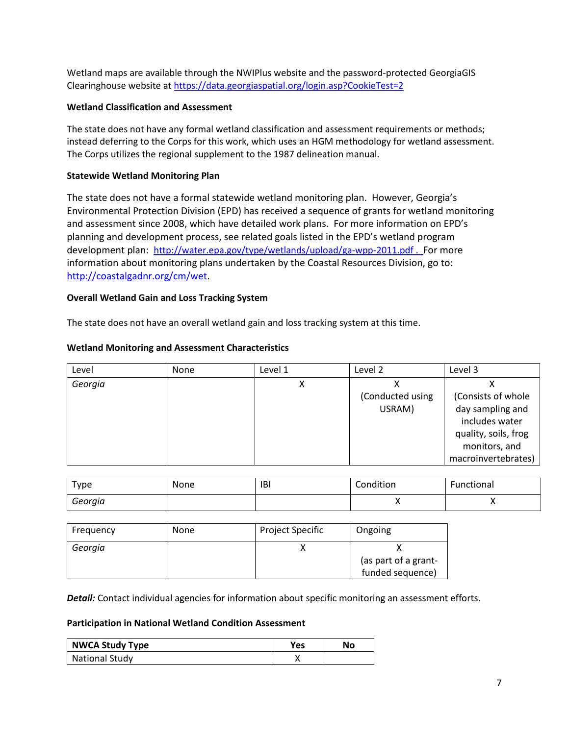Wetland maps are available through the NWIPlus website and the password-protected GeorgiaGIS Clearinghouse website at<https://data.georgiaspatial.org/login.asp?CookieTest=2>

# **Wetland Classification and Assessment**

The state does not have any formal wetland classification and assessment requirements or methods; instead deferring to the Corps for this work, which uses an HGM methodology for wetland assessment. The Corps utilizes the regional supplement to the 1987 delineation manual.

# **Statewide Wetland Monitoring Plan**

The state does not have a formal statewide wetland monitoring plan. However, Georgia's Environmental Protection Division (EPD) has received a sequence of grants for wetland monitoring and assessment since 2008, which have detailed work plans. For more information on EPD's planning and development process, see related goals listed in the EPD's wetland program development plan: <http://water.epa.gov/type/wetlands/upload/ga-wpp-2011.pdf>. For more information about monitoring plans undertaken by the Coastal Resources Division, go to: [http://coastalgadnr.org/cm/wet.](http://coastalgadnr.org/cm/wet)

# **Overall Wetland Gain and Loss Tracking System**

The state does not have an overall wetland gain and loss tracking system at this time.

# **Wetland Monitoring and Assessment Characteristics**

| Level   | None | Level 1   | Level 2          | Level 3              |
|---------|------|-----------|------------------|----------------------|
| Georgia |      | $\lambda$ |                  |                      |
|         |      |           | (Conducted using | (Consists of whole   |
|         |      |           | USRAM)           | day sampling and     |
|         |      |           |                  | includes water       |
|         |      |           |                  | quality, soils, frog |
|         |      |           |                  | monitors, and        |
|         |      |           |                  | macroinvertebrates)  |

| Type    | None | <b>IBI</b> | Condition | Functional |
|---------|------|------------|-----------|------------|
| Georgia |      |            | ,,        |            |

| Frequency | None | <b>Project Specific</b> | Ongoing              |
|-----------|------|-------------------------|----------------------|
| Georgia   |      |                         | (as part of a grant- |
|           |      |                         | funded sequence)     |

*Detail:* Contact individual agencies for information about specific monitoring an assessment efforts.

**Participation in National Wetland Condition Assessment**

| <b>NWCA Study Type</b> | Yes | No |
|------------------------|-----|----|
| <b>National Study</b>  |     |    |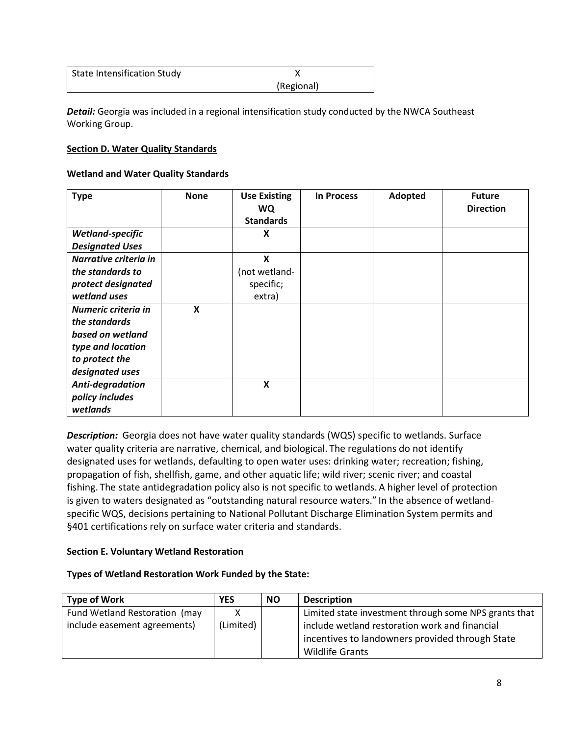| State Intensification Study |            |  |
|-----------------------------|------------|--|
|                             | (Regional) |  |

*Detail:* Georgia was included in a regional intensification study conducted by the NWCA Southeast Working Group.

# <span id="page-7-0"></span>**Section D. Water Quality Standards**

# **Wetland and Water Quality Standards**

| <b>Type</b>            | <b>None</b> | <b>Use Existing</b><br><b>WQ</b> | <b>In Process</b> | Adopted | <b>Future</b><br><b>Direction</b> |
|------------------------|-------------|----------------------------------|-------------------|---------|-----------------------------------|
|                        |             | <b>Standards</b>                 |                   |         |                                   |
| Wetland-specific       |             | X                                |                   |         |                                   |
| <b>Designated Uses</b> |             |                                  |                   |         |                                   |
| Narrative criteria in  |             | X                                |                   |         |                                   |
| the standards to       |             | (not wetland-                    |                   |         |                                   |
| protect designated     |             | specific;                        |                   |         |                                   |
| wetland uses           |             | extra)                           |                   |         |                                   |
| Numeric criteria in    | X           |                                  |                   |         |                                   |
| the standards          |             |                                  |                   |         |                                   |
| based on wetland       |             |                                  |                   |         |                                   |
| type and location      |             |                                  |                   |         |                                   |
| to protect the         |             |                                  |                   |         |                                   |
| designated uses        |             |                                  |                   |         |                                   |
| Anti-degradation       |             | $\boldsymbol{\mathsf{x}}$        |                   |         |                                   |
| policy includes        |             |                                  |                   |         |                                   |
| wetlands               |             |                                  |                   |         |                                   |

**Description:** Georgia does not have water quality standards (WQS) specific to wetlands. Surface water quality criteria are narrative, chemical, and biological. The regulations do not identify designated uses for wetlands, defaulting to open water uses: drinking water; recreation; fishing, propagation of fish, shellfish, game, and other aquatic life; wild river; scenic river; and coastal fishing. The state antidegradation policy also is not specific to wetlands. A higher level of protection is given to waters designated as "outstanding natural resource waters." In the absence of wetlandspecific WQS, decisions pertaining to National Pollutant Discharge Elimination System permits and §401 certifications rely on surface water criteria and standards.

# <span id="page-7-1"></span>**Section E. Voluntary Wetland Restoration**

# **Types of Wetland Restoration Work Funded by the State:**

| <b>Type of Work</b>           | <b>YES</b> | <b>NO</b> | <b>Description</b>                                    |
|-------------------------------|------------|-----------|-------------------------------------------------------|
| Fund Wetland Restoration (may |            |           | Limited state investment through some NPS grants that |
| include easement agreements)  | (Limited)  |           | include wetland restoration work and financial        |
|                               |            |           | incentives to landowners provided through State       |
|                               |            |           | <b>Wildlife Grants</b>                                |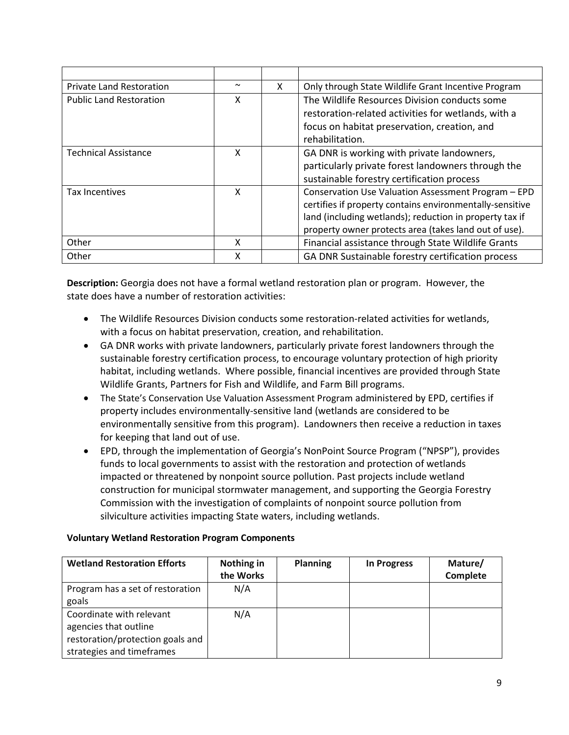| <b>Private Land Restoration</b> | $\sim$ | X. | Only through State Wildlife Grant Incentive Program                                                                                                                                                                                 |
|---------------------------------|--------|----|-------------------------------------------------------------------------------------------------------------------------------------------------------------------------------------------------------------------------------------|
| <b>Public Land Restoration</b>  | X      |    | The Wildlife Resources Division conducts some<br>restoration-related activities for wetlands, with a<br>focus on habitat preservation, creation, and<br>rehabilitation.                                                             |
| <b>Technical Assistance</b>     | x      |    | GA DNR is working with private landowners,<br>particularly private forest landowners through the<br>sustainable forestry certification process                                                                                      |
| Tax Incentives                  | x      |    | Conservation Use Valuation Assessment Program - EPD<br>certifies if property contains environmentally-sensitive<br>land (including wetlands); reduction in property tax if<br>property owner protects area (takes land out of use). |
| Other                           | x      |    | Financial assistance through State Wildlife Grants                                                                                                                                                                                  |
| Other                           | x      |    | GA DNR Sustainable forestry certification process                                                                                                                                                                                   |

**Description:** Georgia does not have a formal wetland restoration plan or program. However, the state does have a number of restoration activities:

- The Wildlife Resources Division conducts some restoration-related activities for wetlands, with a focus on habitat preservation, creation, and rehabilitation.
- GA DNR works with private landowners, particularly private forest landowners through the sustainable forestry certification process, to encourage voluntary protection of high priority habitat, including wetlands. Where possible, financial incentives are provided through State Wildlife Grants, Partners for Fish and Wildlife, and Farm Bill programs.
- The State's Conservation Use Valuation Assessment Program administered by EPD, certifies if property includes environmentally-sensitive land (wetlands are considered to be environmentally sensitive from this program). Landowners then receive a reduction in taxes for keeping that land out of use.
- EPD, through the implementation of Georgia's NonPoint Source Program ("NPSP"), provides funds to local governments to assist with the restoration and protection of wetlands impacted or threatened by nonpoint source pollution. Past projects include wetland construction for municipal stormwater management, and supporting the Georgia Forestry Commission with the investigation of complaints of nonpoint source pollution from silviculture activities impacting State waters, including wetlands.

# **Voluntary Wetland Restoration Program Components**

| <b>Wetland Restoration Efforts</b>                                                                                 | Nothing in<br>the Works | <b>Planning</b> | <b>In Progress</b> | Mature/<br><b>Complete</b> |
|--------------------------------------------------------------------------------------------------------------------|-------------------------|-----------------|--------------------|----------------------------|
| Program has a set of restoration<br>goals                                                                          | N/A                     |                 |                    |                            |
| Coordinate with relevant<br>agencies that outline<br>restoration/protection goals and<br>strategies and timeframes | N/A                     |                 |                    |                            |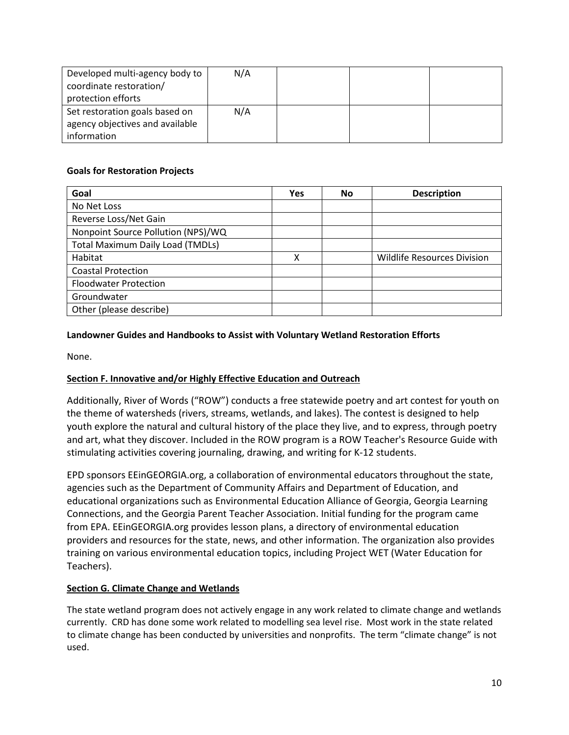| Developed multi-agency body to  | N/A |  |  |
|---------------------------------|-----|--|--|
| coordinate restoration/         |     |  |  |
| protection efforts              |     |  |  |
| Set restoration goals based on  | N/A |  |  |
| agency objectives and available |     |  |  |
| information                     |     |  |  |

# **Goals for Restoration Projects**

| Goal                                    | Yes | No | <b>Description</b>                 |
|-----------------------------------------|-----|----|------------------------------------|
| No Net Loss                             |     |    |                                    |
| Reverse Loss/Net Gain                   |     |    |                                    |
| Nonpoint Source Pollution (NPS)/WQ      |     |    |                                    |
| <b>Total Maximum Daily Load (TMDLs)</b> |     |    |                                    |
| Habitat                                 | х   |    | <b>Wildlife Resources Division</b> |
| <b>Coastal Protection</b>               |     |    |                                    |
| <b>Floodwater Protection</b>            |     |    |                                    |
| Groundwater                             |     |    |                                    |
| Other (please describe)                 |     |    |                                    |

# **Landowner Guides and Handbooks to Assist with Voluntary Wetland Restoration Efforts**

None.

# <span id="page-9-0"></span>**Section F. Innovative and/or Highly Effective Education and Outreach**

Additionally, River of Words ("ROW") conducts a free statewide poetry and art contest for youth on the theme of watersheds (rivers, streams, wetlands, and lakes). The contest is designed to help youth explore the natural and cultural history of the place they live, and to express, through poetry and art, what they discover. Included in the ROW program is a ROW Teacher's Resource Guide with stimulating activities covering journaling, drawing, and writing for K-12 students.

EPD sponsors EEinGEORGIA.org, a collaboration of environmental educators throughout the state, agencies such as the Department of Community Affairs and Department of Education, and educational organizations such as Environmental Education Alliance of Georgia, Georgia Learning Connections, and the Georgia Parent Teacher Association. Initial funding for the program came from EPA. EEinGEORGIA.org provides lesson plans, a directory of environmental education providers and resources for the state, news, and other information. The organization also provides training on various environmental education topics, including Project WET (Water Education for Teachers).

# **Section G. Climate Change and Wetlands**

The state wetland program does not actively engage in any work related to climate change and wetlands currently. CRD has done some work related to modelling sea level rise. Most work in the state related to climate change has been conducted by universities and nonprofits. The term "climate change" is not used.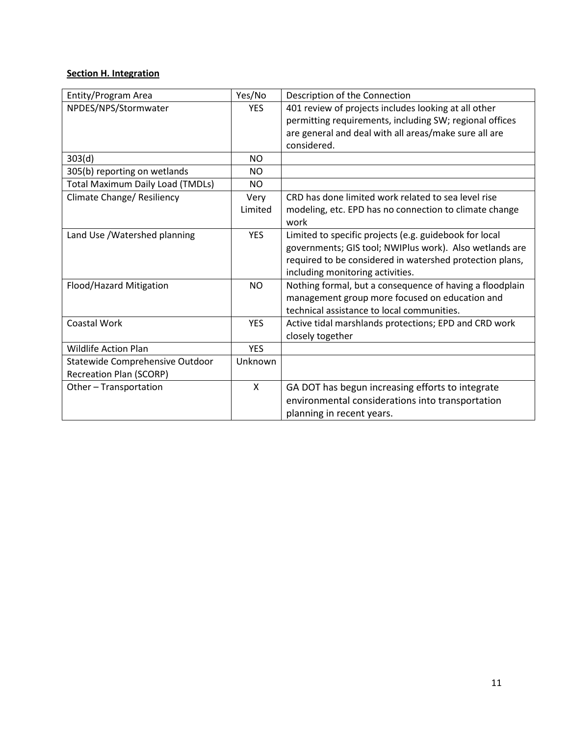# <span id="page-10-0"></span>**Section H. Integration**

| Entity/Program Area                     | Yes/No     | Description of the Connection                            |
|-----------------------------------------|------------|----------------------------------------------------------|
| NPDES/NPS/Stormwater                    | <b>YES</b> | 401 review of projects includes looking at all other     |
|                                         |            | permitting requirements, including SW; regional offices  |
|                                         |            | are general and deal with all areas/make sure all are    |
|                                         |            | considered.                                              |
| 303(d)                                  | <b>NO</b>  |                                                          |
| 305(b) reporting on wetlands            | <b>NO</b>  |                                                          |
| <b>Total Maximum Daily Load (TMDLs)</b> | <b>NO</b>  |                                                          |
| Climate Change/ Resiliency              | Very       | CRD has done limited work related to sea level rise      |
|                                         | Limited    | modeling, etc. EPD has no connection to climate change   |
|                                         |            | work                                                     |
| Land Use / Watershed planning           | <b>YES</b> | Limited to specific projects (e.g. guidebook for local   |
|                                         |            | governments; GIS tool; NWIPlus work). Also wetlands are  |
|                                         |            | required to be considered in watershed protection plans, |
|                                         |            | including monitoring activities.                         |
| Flood/Hazard Mitigation                 | <b>NO</b>  | Nothing formal, but a consequence of having a floodplain |
|                                         |            | management group more focused on education and           |
|                                         |            | technical assistance to local communities.               |
| <b>Coastal Work</b>                     | <b>YES</b> | Active tidal marshlands protections; EPD and CRD work    |
|                                         |            | closely together                                         |
| <b>Wildlife Action Plan</b>             | <b>YES</b> |                                                          |
| Statewide Comprehensive Outdoor         | Unknown    |                                                          |
| Recreation Plan (SCORP)                 |            |                                                          |
| Other - Transportation                  | X          | GA DOT has begun increasing efforts to integrate         |
|                                         |            | environmental considerations into transportation         |
|                                         |            | planning in recent years.                                |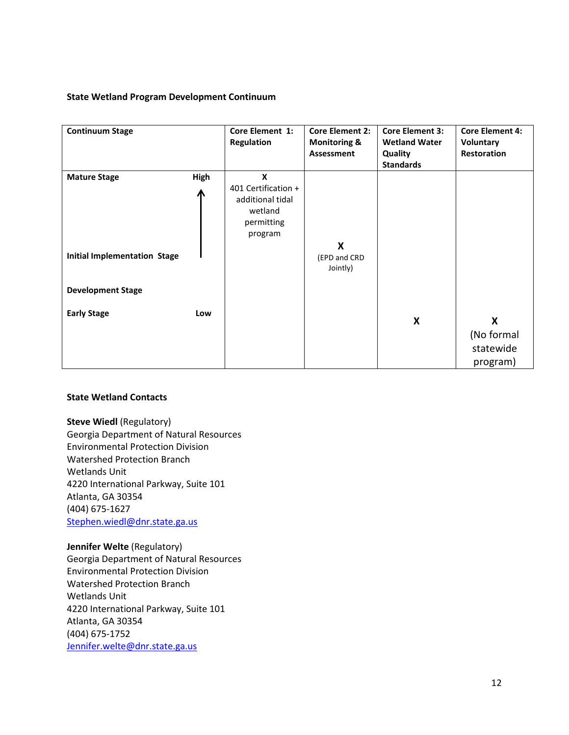# **State Wetland Program Development Continuum**

| <b>Continuum Stage</b>                                     |           | Core Element 1:<br>Regulation                                                    | <b>Core Element 2:</b><br><b>Monitoring &amp;</b><br>Assessment | <b>Core Element 3:</b><br><b>Wetland Water</b><br>Quality<br><b>Standards</b> | <b>Core Element 4:</b><br>Voluntary<br>Restoration |
|------------------------------------------------------------|-----------|----------------------------------------------------------------------------------|-----------------------------------------------------------------|-------------------------------------------------------------------------------|----------------------------------------------------|
| <b>Mature Stage</b><br><b>Initial Implementation Stage</b> | High<br>Ж | X<br>401 Certification +<br>additional tidal<br>wetland<br>permitting<br>program | X<br>(EPD and CRD                                               |                                                                               |                                                    |
| <b>Development Stage</b>                                   |           |                                                                                  | Jointly)                                                        |                                                                               |                                                    |
| <b>Early Stage</b>                                         | Low       |                                                                                  |                                                                 | X                                                                             | X<br>(No formal<br>statewide<br>program)           |

#### **State Wetland Contacts**

**Steve Wiedl** (Regulatory) Georgia Department of Natural Resources Environmental Protection Division Watershed Protection Branch Wetlands Unit 4220 International Parkway, Suite 101 Atlanta, GA 30354 (404) 675-1627 [Stephen.wiedl@dnr.state.ga.us](mailto:Stephen.wiedl@dnr.state.ga.us)

**Jennifer Welte** (Regulatory) Georgia Department of Natural Resources Environmental Protection Division Watershed Protection Branch Wetlands Unit 4220 International Parkway, Suite 101 Atlanta, GA 30354 (404) 675-1752 [Jennifer.welte@dnr.state.ga.us](mailto:Jennifer.welte@dnr.state.ga.us)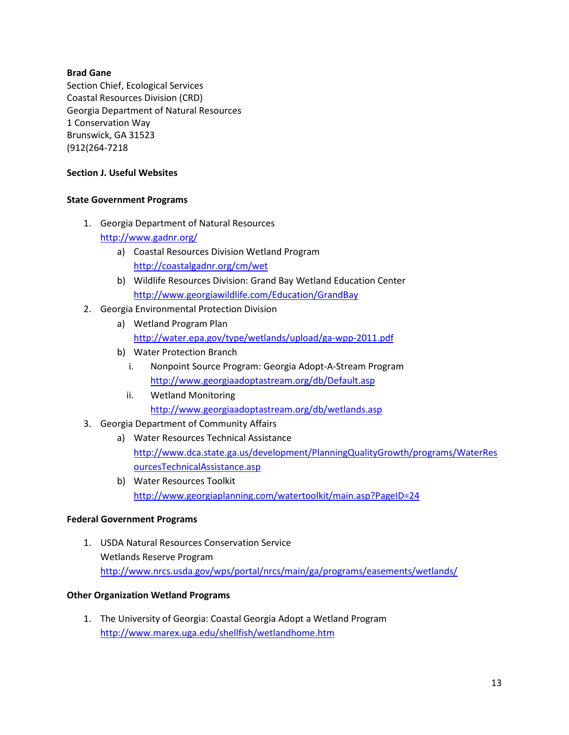# **Brad Gane**

Section Chief, Ecological Services Coastal Resources Division (CRD) Georgia Department of Natural Resources 1 Conservation Way Brunswick, GA 31523 (912(264-7218

# **Section J. Useful Websites**

# **State Government Programs**

- 1. Georgia Department of Natural Resources <http://www.gadnr.org/>
	- a) Coastal Resources Division Wetland Program <http://coastalgadnr.org/cm/wet>
	- b) Wildlife Resources Division: Grand Bay Wetland Education Center <http://www.georgiawildlife.com/Education/GrandBay>
- 2. Georgia Environmental Protection Division
	- a) Wetland Program Plan <http://water.epa.gov/type/wetlands/upload/ga-wpp-2011.pdf>
	- b) Water Protection Branch
		- i. Nonpoint Source Program: Georgia Adopt-A-Stream Program <http://www.georgiaadoptastream.org/db/Default.asp>
		- ii. Wetland Monitoring <http://www.georgiaadoptastream.org/db/wetlands.asp>
- 3. Georgia Department of Community Affairs
	- a) Water Resources Technical Assistance [http://www.dca.state.ga.us/development/PlanningQualityGrowth/programs/WaterRes](http://www.dca.state.ga.us/development/PlanningQualityGrowth/programs/WaterResourcesTechnicalAssistance.asp) [ourcesTechnicalAssistance.asp](http://www.dca.state.ga.us/development/PlanningQualityGrowth/programs/WaterResourcesTechnicalAssistance.asp)
	- b) Water Resources Toolkit <http://www.georgiaplanning.com/watertoolkit/main.asp?PageID=24>

# **Federal Government Programs**

1. USDA Natural Resources Conservation Service Wetlands Reserve Program <http://www.nrcs.usda.gov/wps/portal/nrcs/main/ga/programs/easements/wetlands/>

# **Other Organization Wetland Programs**

1. The University of Georgia: Coastal Georgia Adopt a Wetland Program <http://www.marex.uga.edu/shellfish/wetlandhome.htm>